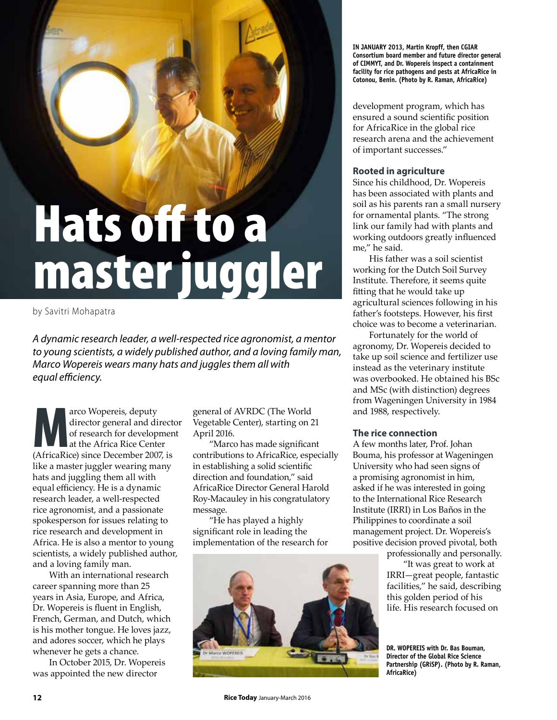# Hats off to a master juggler

by Savitri Mohapatra

*A dynamic research leader, a well-respected rice agronomist, a mentor to young scientists, a widely published author, and a loving family man, Marco Wopereis wears many hats and juggles them all with equal efficiency.* 

Arco Wopereis, deputy<br>
director general and direct<br>
of research for developmen<br>
at the Africa Rice Center<br>
(AfricaRice) since December 2007, is director general and director of research for development at the Africa Rice Center like a master juggler wearing many hats and juggling them all with equal efficiency. He is a dynamic research leader, a well-respected rice agronomist, and a passionate spokesperson for issues relating to rice research and development in Africa. He is also a mentor to young scientists, a widely published author, and a loving family man.

With an international research career spanning more than 25 years in Asia, Europe, and Africa, Dr. Wopereis is fluent in English, French, German, and Dutch, which is his mother tongue. He loves jazz, and adores soccer, which he plays whenever he gets a chance.

In October 2015, Dr. Wopereis was appointed the new director

general of AVRDC (The World Vegetable Center), starting on 21 April 2016.

"Marco has made significant contributions to AfricaRice, especially in establishing a solid scientific direction and foundation," said AfricaRice Director General Harold Roy-Macauley in his congratulatory message.

"He has played a highly significant role in leading the implementation of the research for



**IN JANUARY 2013, Martin Kropff, then CGIAR Consortium board member and future director general of CIMMYT, and Dr. Wopereis inspect a containment facility for rice pathogens and pests at AfricaRice in Cotonou, Benin. (Photo by R. Raman, AfricaRice)**

development program, which has ensured a sound scientific position for AfricaRice in the global rice research arena and the achievement of important successes."

# **Rooted in agriculture**

Since his childhood, Dr. Wopereis has been associated with plants and soil as his parents ran a small nursery for ornamental plants. "The strong link our family had with plants and working outdoors greatly influenced me," he said.

His father was a soil scientist working for the Dutch Soil Survey Institute. Therefore, it seems quite fitting that he would take up agricultural sciences following in his father's footsteps. However, his first choice was to become a veterinarian.

Fortunately for the world of agronomy, Dr. Wopereis decided to take up soil science and fertilizer use instead as the veterinary institute was overbooked. He obtained his BSc and MSc (with distinction) degrees from Wageningen University in 1984 and 1988, respectively.

# **The rice connection**

A few months later, Prof. Johan Bouma, his professor at Wageningen University who had seen signs of a promising agronomist in him, asked if he was interested in going to the International Rice Research Institute (IRRI) in Los Baños in the Philippines to coordinate a soil management project. Dr. Wopereis's positive decision proved pivotal, both

> professionally and personally. "It was great to work at IRRI—great people, fantastic facilities," he said, describing this golden period of his life. His research focused on

**12 Rice Today** January-March 2016

**DR. WOPEREIS with Dr. Bas Bouman, Director of the Global Rice Science Partnership (GRiSP). (Photo by R. Raman, AfricaRice)**